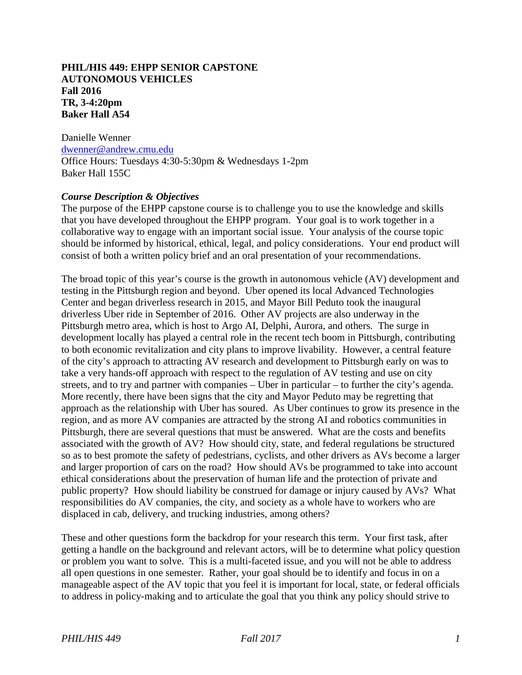### **PHIL/HIS 449: EHPP SENIOR CAPSTONE AUTONOMOUS VEHICLES Fall 2016 TR, 3-4:20pm Baker Hall A54**

Danielle Wenner [dwenner@andrew.cmu.edu](mailto:dwenner@andrew.cmu.edu) Office Hours: Tuesdays 4:30-5:30pm & Wednesdays 1-2pm Baker Hall 155C

### *Course Description & Objectives*

The purpose of the EHPP capstone course is to challenge you to use the knowledge and skills that you have developed throughout the EHPP program. Your goal is to work together in a collaborative way to engage with an important social issue. Your analysis of the course topic should be informed by historical, ethical, legal, and policy considerations. Your end product will consist of both a written policy brief and an oral presentation of your recommendations.

The broad topic of this year's course is the growth in autonomous vehicle (AV) development and testing in the Pittsburgh region and beyond. Uber opened its local Advanced Technologies Center and began driverless research in 2015, and Mayor Bill Peduto took the inaugural driverless Uber ride in September of 2016. Other AV projects are also underway in the Pittsburgh metro area, which is host to Argo AI, Delphi, Aurora, and others. The surge in development locally has played a central role in the recent tech boom in Pittsburgh, contributing to both economic revitalization and city plans to improve livability. However, a central feature of the city's approach to attracting AV research and development to Pittsburgh early on was to take a very hands-off approach with respect to the regulation of AV testing and use on city streets, and to try and partner with companies – Uber in particular – to further the city's agenda. More recently, there have been signs that the city and Mayor Peduto may be regretting that approach as the relationship with Uber has soured. As Uber continues to grow its presence in the region, and as more AV companies are attracted by the strong AI and robotics communities in Pittsburgh, there are several questions that must be answered. What are the costs and benefits associated with the growth of AV? How should city, state, and federal regulations be structured so as to best promote the safety of pedestrians, cyclists, and other drivers as AVs become a larger and larger proportion of cars on the road? How should AVs be programmed to take into account ethical considerations about the preservation of human life and the protection of private and public property? How should liability be construed for damage or injury caused by AVs? What responsibilities do AV companies, the city, and society as a whole have to workers who are displaced in cab, delivery, and trucking industries, among others?

These and other questions form the backdrop for your research this term. Your first task, after getting a handle on the background and relevant actors, will be to determine what policy question or problem you want to solve. This is a multi-faceted issue, and you will not be able to address all open questions in one semester. Rather, your goal should be to identify and focus in on a manageable aspect of the AV topic that you feel it is important for local, state, or federal officials to address in policy-making and to articulate the goal that you think any policy should strive to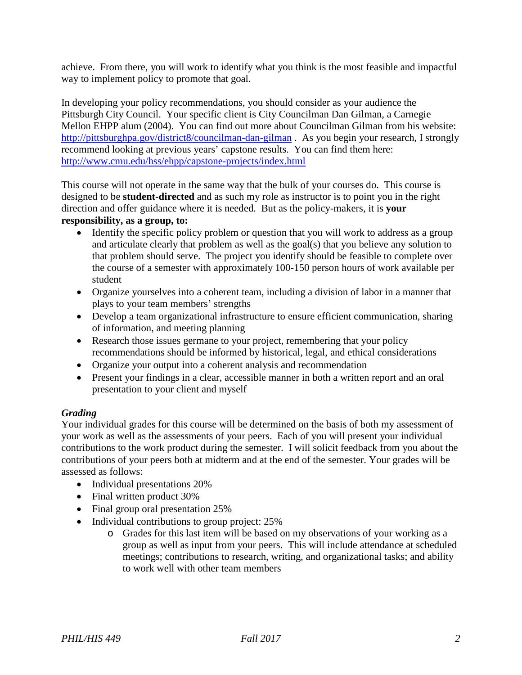achieve. From there, you will work to identify what you think is the most feasible and impactful way to implement policy to promote that goal.

In developing your policy recommendations, you should consider as your audience the Pittsburgh City Council. Your specific client is City Councilman Dan Gilman, a Carnegie Mellon EHPP alum (2004). You can find out more about Councilman Gilman from his website: <http://pittsburghpa.gov/district8/councilman-dan-gilman> . As you begin your research, I strongly recommend looking at previous years' capstone results. You can find them here: <http://www.cmu.edu/hss/ehpp/capstone-projects/index.html>

This course will not operate in the same way that the bulk of your courses do. This course is designed to be **student-directed** and as such my role as instructor is to point you in the right direction and offer guidance where it is needed. But as the policy-makers, it is **your responsibility, as a group, to:**

- Identify the specific policy problem or question that you will work to address as a group and articulate clearly that problem as well as the goal(s) that you believe any solution to that problem should serve. The project you identify should be feasible to complete over the course of a semester with approximately 100-150 person hours of work available per student
- Organize yourselves into a coherent team, including a division of labor in a manner that plays to your team members' strengths
- Develop a team organizational infrastructure to ensure efficient communication, sharing of information, and meeting planning
- Research those issues germane to your project, remembering that your policy recommendations should be informed by historical, legal, and ethical considerations
- Organize your output into a coherent analysis and recommendation
- Present your findings in a clear, accessible manner in both a written report and an oral presentation to your client and myself

# *Grading*

Your individual grades for this course will be determined on the basis of both my assessment of your work as well as the assessments of your peers. Each of you will present your individual contributions to the work product during the semester. I will solicit feedback from you about the contributions of your peers both at midterm and at the end of the semester. Your grades will be assessed as follows:

- Individual presentations 20%
- Final written product 30%
- Final group oral presentation 25%
- Individual contributions to group project: 25%
	- o Grades for this last item will be based on my observations of your working as a group as well as input from your peers. This will include attendance at scheduled meetings; contributions to research, writing, and organizational tasks; and ability to work well with other team members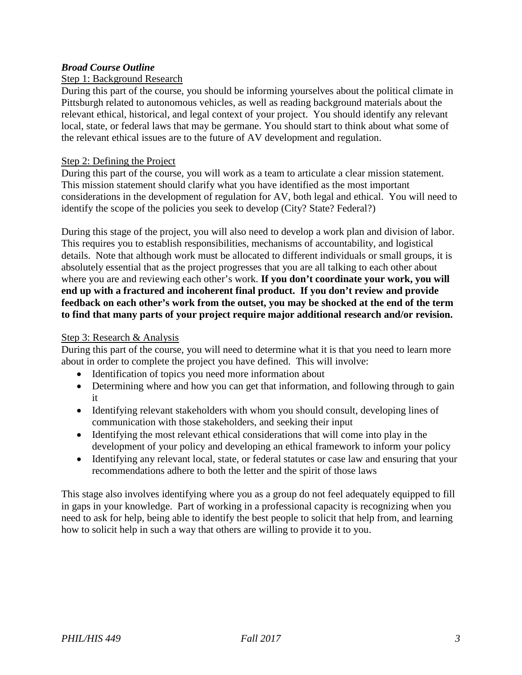### *Broad Course Outline*

### Step 1: Background Research

During this part of the course, you should be informing yourselves about the political climate in Pittsburgh related to autonomous vehicles, as well as reading background materials about the relevant ethical, historical, and legal context of your project. You should identify any relevant local, state, or federal laws that may be germane. You should start to think about what some of the relevant ethical issues are to the future of AV development and regulation.

#### Step 2: Defining the Project

During this part of the course, you will work as a team to articulate a clear mission statement. This mission statement should clarify what you have identified as the most important considerations in the development of regulation for AV, both legal and ethical. You will need to identify the scope of the policies you seek to develop (City? State? Federal?)

During this stage of the project, you will also need to develop a work plan and division of labor. This requires you to establish responsibilities, mechanisms of accountability, and logistical details. Note that although work must be allocated to different individuals or small groups, it is absolutely essential that as the project progresses that you are all talking to each other about where you are and reviewing each other's work. If you don't coordinate your work, you will **end up with a fractured and incoherent final product. If you don't review and provide feedback on each other's work from the outset, you may be shocked at the end of the term to find that many parts of your project require major additional research and/or revision.**

#### Step 3: Research & Analysis

During this part of the course, you will need to determine what it is that you need to learn more about in order to complete the project you have defined. This will involve:

- Identification of topics you need more information about
- Determining where and how you can get that information, and following through to gain it
- Identifying relevant stakeholders with whom you should consult, developing lines of communication with those stakeholders, and seeking their input
- Identifying the most relevant ethical considerations that will come into play in the development of your policy and developing an ethical framework to inform your policy
- Identifying any relevant local, state, or federal statutes or case law and ensuring that your recommendations adhere to both the letter and the spirit of those laws

This stage also involves identifying where you as a group do not feel adequately equipped to fill in gaps in your knowledge. Part of working in a professional capacity is recognizing when you need to ask for help, being able to identify the best people to solicit that help from, and learning how to solicit help in such a way that others are willing to provide it to you.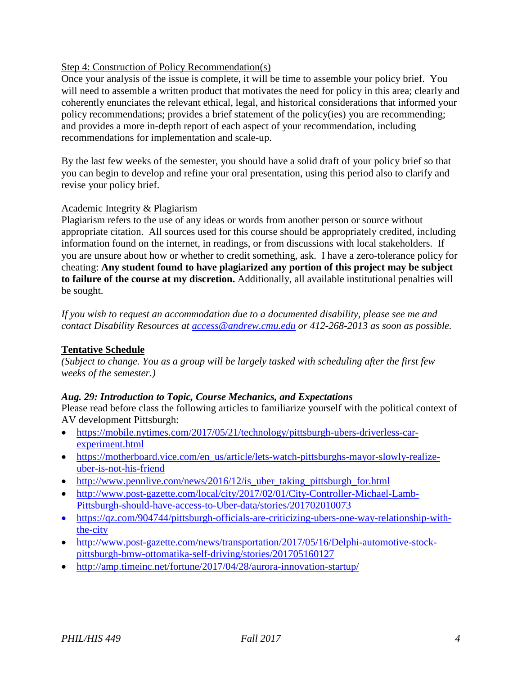### Step 4: Construction of Policy Recommendation(s)

Once your analysis of the issue is complete, it will be time to assemble your policy brief. You will need to assemble a written product that motivates the need for policy in this area; clearly and coherently enunciates the relevant ethical, legal, and historical considerations that informed your policy recommendations; provides a brief statement of the policy(ies) you are recommending; and provides a more in-depth report of each aspect of your recommendation, including recommendations for implementation and scale-up.

By the last few weeks of the semester, you should have a solid draft of your policy brief so that you can begin to develop and refine your oral presentation, using this period also to clarify and revise your policy brief.

### Academic Integrity & Plagiarism

Plagiarism refers to the use of any ideas or words from another person or source without appropriate citation. All sources used for this course should be appropriately credited, including information found on the internet, in readings, or from discussions with local stakeholders. If you are unsure about how or whether to credit something, ask. I have a zero-tolerance policy for cheating: **Any student found to have plagiarized any portion of this project may be subject to failure of the course at my discretion.** Additionally, all available institutional penalties will be sought.

*If you wish to request an accommodation due to a documented disability, please see me and contact Disability Resources at [access@andrew.cmu.edu](mailto:access@andrew.cmu.edu) or 412-268-2013 as soon as possible.*

## **Tentative Schedule**

*(Subject to change. You as a group will be largely tasked with scheduling after the first few weeks of the semester.)*

### *Aug. 29: Introduction to Topic, Course Mechanics, and Expectations*

Please read before class the following articles to familiarize yourself with the political context of AV development Pittsburgh:

- [https://mobile.nytimes.com/2017/05/21/technology/pittsburgh-ubers-driverless-car](https://mobile.nytimes.com/2017/05/21/technology/pittsburgh-ubers-driverless-car-experiment.html)[experiment.html](https://mobile.nytimes.com/2017/05/21/technology/pittsburgh-ubers-driverless-car-experiment.html)
- [https://motherboard.vice.com/en\\_us/article/lets-watch-pittsburghs-mayor-slowly-realize](https://motherboard.vice.com/en_us/article/lets-watch-pittsburghs-mayor-slowly-realize-uber-is-not-his-friend)[uber-is-not-his-friend](https://motherboard.vice.com/en_us/article/lets-watch-pittsburghs-mayor-slowly-realize-uber-is-not-his-friend)
- [http://www.pennlive.com/news/2016/12/is\\_uber\\_taking\\_pittsburgh\\_for.html](http://www.pennlive.com/news/2016/12/is_uber_taking_pittsburgh_for.html)
- [http://www.post-gazette.com/local/city/2017/02/01/City-Controller-Michael-Lamb-](http://www.post-gazette.com/local/city/2017/02/01/City-Controller-Michael-Lamb-Pittsburgh-should-have-access-to-Uber-data/stories/201702010073)[Pittsburgh-should-have-access-to-Uber-data/stories/201702010073](http://www.post-gazette.com/local/city/2017/02/01/City-Controller-Michael-Lamb-Pittsburgh-should-have-access-to-Uber-data/stories/201702010073)
- [https://qz.com/904744/pittsburgh-officials-are-criticizing-ubers-one-way-relationship-with](https://qz.com/904744/pittsburgh-officials-are-criticizing-ubers-one-way-relationship-with-the-city)[the-city](https://qz.com/904744/pittsburgh-officials-are-criticizing-ubers-one-way-relationship-with-the-city)
- [http://www.post-gazette.com/news/transportation/2017/05/16/Delphi-automotive-stock](http://www.post-gazette.com/news/transportation/2017/05/16/Delphi-automotive-stock-pittsburgh-bmw-ottomatika-self-driving/stories/201705160127)[pittsburgh-bmw-ottomatika-self-driving/stories/201705160127](http://www.post-gazette.com/news/transportation/2017/05/16/Delphi-automotive-stock-pittsburgh-bmw-ottomatika-self-driving/stories/201705160127)
- <http://amp.timeinc.net/fortune/2017/04/28/aurora-innovation-startup/>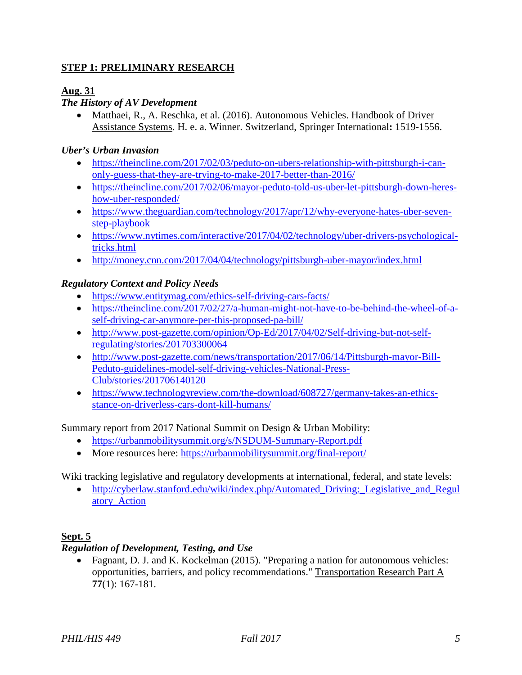## **STEP 1: PRELIMINARY RESEARCH**

## **Aug. 31**

# *The History of AV Development*

• Matthaei, R., A. Reschka, et al. (2016). Autonomous Vehicles. Handbook of Driver Assistance Systems. H. e. a. Winner. Switzerland, Springer International**:** 1519-1556.

## *Uber's Urban Invasion*

- [https://theincline.com/2017/02/03/peduto-on-ubers-relationship-with-pittsburgh-i-can](https://theincline.com/2017/02/03/peduto-on-ubers-relationship-with-pittsburgh-i-can-only-guess-that-they-are-trying-to-make-2017-better-than-2016/)[only-guess-that-they-are-trying-to-make-2017-better-than-2016/](https://theincline.com/2017/02/03/peduto-on-ubers-relationship-with-pittsburgh-i-can-only-guess-that-they-are-trying-to-make-2017-better-than-2016/)
- [https://theincline.com/2017/02/06/mayor-peduto-told-us-uber-let-pittsburgh-down-heres](https://theincline.com/2017/02/06/mayor-peduto-told-us-uber-let-pittsburgh-down-heres-how-uber-responded/)[how-uber-responded/](https://theincline.com/2017/02/06/mayor-peduto-told-us-uber-let-pittsburgh-down-heres-how-uber-responded/)
- [https://www.theguardian.com/technology/2017/apr/12/why-everyone-hates-uber-seven](https://www.theguardian.com/technology/2017/apr/12/why-everyone-hates-uber-seven-step-playbook)[step-playbook](https://www.theguardian.com/technology/2017/apr/12/why-everyone-hates-uber-seven-step-playbook)
- [https://www.nytimes.com/interactive/2017/04/02/technology/uber-drivers-psychological](https://www.nytimes.com/interactive/2017/04/02/technology/uber-drivers-psychological-tricks.html)[tricks.html](https://www.nytimes.com/interactive/2017/04/02/technology/uber-drivers-psychological-tricks.html)
- <http://money.cnn.com/2017/04/04/technology/pittsburgh-uber-mayor/index.html>

## *Regulatory Context and Policy Needs*

- <https://www.entitymag.com/ethics-self-driving-cars-facts/>
- [https://theincline.com/2017/02/27/a-human-might-not-have-to-be-behind-the-wheel-of-a](https://theincline.com/2017/02/27/a-human-might-not-have-to-be-behind-the-wheel-of-a-self-driving-car-anymore-per-this-proposed-pa-bill/)[self-driving-car-anymore-per-this-proposed-pa-bill/](https://theincline.com/2017/02/27/a-human-might-not-have-to-be-behind-the-wheel-of-a-self-driving-car-anymore-per-this-proposed-pa-bill/)
- [http://www.post-gazette.com/opinion/Op-Ed/2017/04/02/Self-driving-but-not-self](http://www.post-gazette.com/opinion/Op-Ed/2017/04/02/Self-driving-but-not-self-regulating/stories/201703300064)[regulating/stories/201703300064](http://www.post-gazette.com/opinion/Op-Ed/2017/04/02/Self-driving-but-not-self-regulating/stories/201703300064)
- [http://www.post-gazette.com/news/transportation/2017/06/14/Pittsburgh-mayor-Bill-](http://www.post-gazette.com/news/transportation/2017/06/14/Pittsburgh-mayor-Bill-Peduto-guidelines-model-self-driving-vehicles-National-Press-Club/stories/201706140120)[Peduto-guidelines-model-self-driving-vehicles-National-Press-](http://www.post-gazette.com/news/transportation/2017/06/14/Pittsburgh-mayor-Bill-Peduto-guidelines-model-self-driving-vehicles-National-Press-Club/stories/201706140120)[Club/stories/201706140120](http://www.post-gazette.com/news/transportation/2017/06/14/Pittsburgh-mayor-Bill-Peduto-guidelines-model-self-driving-vehicles-National-Press-Club/stories/201706140120)
- [https://www.technologyreview.com/the-download/608727/germany-takes-an-ethics](https://www.technologyreview.com/the-download/608727/germany-takes-an-ethics-stance-on-driverless-cars-dont-kill-humans/)[stance-on-driverless-cars-dont-kill-humans/](https://www.technologyreview.com/the-download/608727/germany-takes-an-ethics-stance-on-driverless-cars-dont-kill-humans/)

Summary report from 2017 National Summit on Design & Urban Mobility:

- <https://urbanmobilitysummit.org/s/NSDUM-Summary-Report.pdf>
- More resources here:<https://urbanmobilitysummit.org/final-report/>

Wiki tracking legislative and regulatory developments at international, federal, and state levels:

• http://cyberlaw.stanford.edu/wiki/index.php/Automated Driving: Legislative and Regul [atory\\_Action](http://cyberlaw.stanford.edu/wiki/index.php/Automated_Driving:_Legislative_and_Regulatory_Action)

## **Sept. 5**

## *Regulation of Development, Testing, and Use*

• Fagnant, D. J. and K. Kockelman (2015). "Preparing a nation for autonomous vehicles: opportunities, barriers, and policy recommendations." Transportation Research Part A **77**(1): 167-181.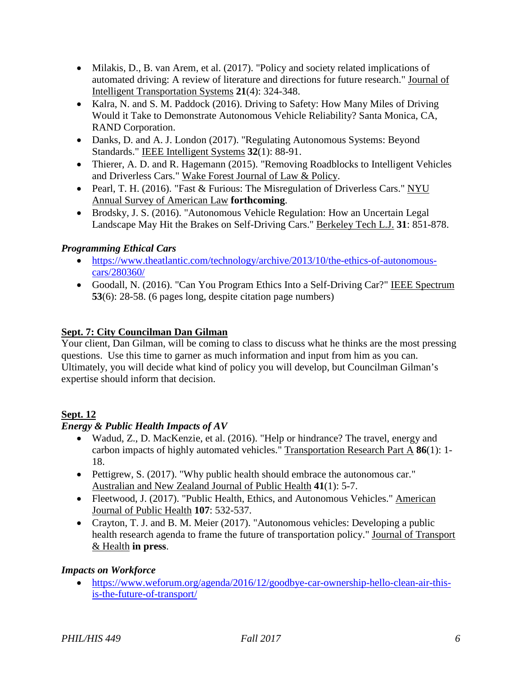- Milakis, D., B. van Arem, et al. (2017). "Policy and society related implications of automated driving: A review of literature and directions for future research." Journal of Intelligent Transportation Systems **21**(4): 324-348.
- Kalra, N. and S. M. Paddock (2016). Driving to Safety: How Many Miles of Driving Would it Take to Demonstrate Autonomous Vehicle Reliability? Santa Monica, CA, RAND Corporation.
- Danks, D. and A. J. London (2017). "Regulating Autonomous Systems: Beyond Standards." IEEE Intelligent Systems **32**(1): 88-91.
- Thierer, A. D. and R. Hagemann (2015). "Removing Roadblocks to Intelligent Vehicles and Driverless Cars." Wake Forest Journal of Law & Policy.
- Pearl, T. H. (2016). "Fast & Furious: The Misregulation of Driverless Cars." NYU Annual Survey of American Law **forthcoming**.
- Brodsky, J. S. (2016). "Autonomous Vehicle Regulation: How an Uncertain Legal Landscape May Hit the Brakes on Self-Driving Cars." Berkeley Tech L.J. **31**: 851-878.

# *Programming Ethical Cars*

- [https://www.theatlantic.com/technology/archive/2013/10/the-ethics-of-autonomous](https://www.theatlantic.com/technology/archive/2013/10/the-ethics-of-autonomous-cars/280360/)[cars/280360/](https://www.theatlantic.com/technology/archive/2013/10/the-ethics-of-autonomous-cars/280360/)
- Goodall, N. (2016). "Can You Program Ethics Into a Self-Driving Car?" IEEE Spectrum **53**(6): 28-58. (6 pages long, despite citation page numbers)

## **Sept. 7: City Councilman Dan Gilman**

Your client, Dan Gilman, will be coming to class to discuss what he thinks are the most pressing questions. Use this time to garner as much information and input from him as you can. Ultimately, you will decide what kind of policy you will develop, but Councilman Gilman's expertise should inform that decision.

# **Sept. 12**

# *Energy & Public Health Impacts of AV*

- Wadud, Z., D. MacKenzie, et al. (2016). "Help or hindrance? The travel, energy and carbon impacts of highly automated vehicles." Transportation Research Part A **86**(1): 1- 18.
- Pettigrew, S. (2017). "Why public health should embrace the autonomous car." Australian and New Zealand Journal of Public Health **41**(1): 5-7.
- Fleetwood, J. (2017). "Public Health, Ethics, and Autonomous Vehicles." American Journal of Public Health **107**: 532-537.
- Crayton, T. J. and B. M. Meier (2017). "Autonomous vehicles: Developing a public health research agenda to frame the future of transportation policy." Journal of Transport & Health **in press**.

# *Impacts on Workforce*

• [https://www.weforum.org/agenda/2016/12/goodbye-car-ownership-hello-clean-air-this](https://www.weforum.org/agenda/2016/12/goodbye-car-ownership-hello-clean-air-this-is-the-future-of-transport/)[is-the-future-of-transport/](https://www.weforum.org/agenda/2016/12/goodbye-car-ownership-hello-clean-air-this-is-the-future-of-transport/)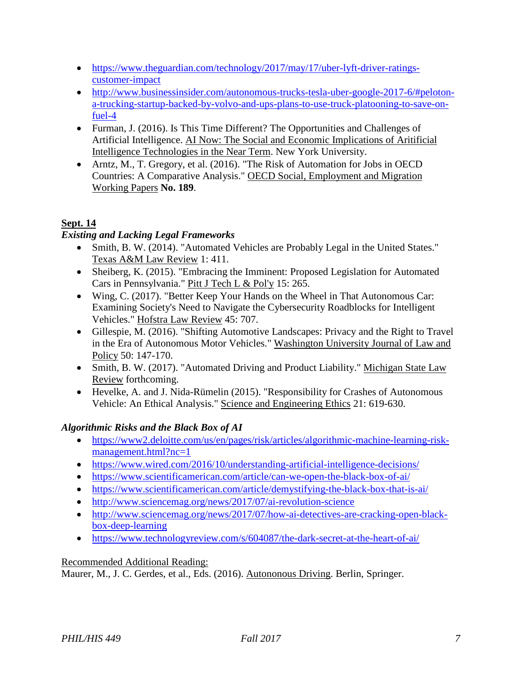- [https://www.theguardian.com/technology/2017/may/17/uber-lyft-driver-ratings](https://www.theguardian.com/technology/2017/may/17/uber-lyft-driver-ratings-customer-impact)[customer-impact](https://www.theguardian.com/technology/2017/may/17/uber-lyft-driver-ratings-customer-impact)
- [http://www.businessinsider.com/autonomous-trucks-tesla-uber-google-2017-6/#peloton](http://www.businessinsider.com/autonomous-trucks-tesla-uber-google-2017-6/#peloton-a-trucking-startup-backed-by-volvo-and-ups-plans-to-use-truck-platooning-to-save-on-fuel-4)[a-trucking-startup-backed-by-volvo-and-ups-plans-to-use-truck-platooning-to-save-on](http://www.businessinsider.com/autonomous-trucks-tesla-uber-google-2017-6/#peloton-a-trucking-startup-backed-by-volvo-and-ups-plans-to-use-truck-platooning-to-save-on-fuel-4)[fuel-4](http://www.businessinsider.com/autonomous-trucks-tesla-uber-google-2017-6/#peloton-a-trucking-startup-backed-by-volvo-and-ups-plans-to-use-truck-platooning-to-save-on-fuel-4)
- Furman, J. (2016). Is This Time Different? The Opportunities and Challenges of Artificial Intelligence. AI Now: The Social and Economic Implications of Aritificial Intelligence Technologies in the Near Term. New York University.
- Arntz, M., T. Gregory, et al. (2016). "The Risk of Automation for Jobs in OECD Countries: A Comparative Analysis." OECD Social, Employment and Migration Working Papers **No. 189**.

# **Sept. 14**

# *Existing and Lacking Legal Frameworks*

- Smith, B. W. (2014). "Automated Vehicles are Probably Legal in the United States." Texas A&M Law Review 1: 411.
- Sheiberg, K. (2015). "Embracing the Imminent: Proposed Legislation for Automated Cars in Pennsylvania." Pitt J Tech L & Pol'y 15: 265.
- Wing, C. (2017). "Better Keep Your Hands on the Wheel in That Autonomous Car: Examining Society's Need to Navigate the Cybersecurity Roadblocks for Intelligent Vehicles." Hofstra Law Review 45: 707.
- Gillespie, M. (2016). "Shifting Automotive Landscapes: Privacy and the Right to Travel in the Era of Autonomous Motor Vehicles." Washington University Journal of Law and Policy 50: 147-170.
- Smith, B. W. (2017). "Automated Driving and Product Liability." Michigan State Law Review forthcoming.
- Hevelke, A. and J. Nida-Rümelin (2015). "Responsibility for Crashes of Autonomous Vehicle: An Ethical Analysis." Science and Engineering Ethics 21: 619-630.

# *Algorithmic Risks and the Black Box of AI*

- [https://www2.deloitte.com/us/en/pages/risk/articles/algorithmic-machine-learning-risk](https://www2.deloitte.com/us/en/pages/risk/articles/algorithmic-machine-learning-risk-management.html?nc=1)[management.html?nc=1](https://www2.deloitte.com/us/en/pages/risk/articles/algorithmic-machine-learning-risk-management.html?nc=1)
- <https://www.wired.com/2016/10/understanding-artificial-intelligence-decisions/>
- <https://www.scientificamerican.com/article/can-we-open-the-black-box-of-ai/>
- <https://www.scientificamerican.com/article/demystifying-the-black-box-that-is-ai/>
- <http://www.sciencemag.org/news/2017/07/ai-revolution-science>
- [http://www.sciencemag.org/news/2017/07/how-ai-detectives-are-cracking-open-black](http://www.sciencemag.org/news/2017/07/how-ai-detectives-are-cracking-open-black-box-deep-learning)[box-deep-learning](http://www.sciencemag.org/news/2017/07/how-ai-detectives-are-cracking-open-black-box-deep-learning)
- <https://www.technologyreview.com/s/604087/the-dark-secret-at-the-heart-of-ai/>

# Recommended Additional Reading:

Maurer, M., J. C. Gerdes, et al., Eds. (2016). Autononous Driving. Berlin, Springer.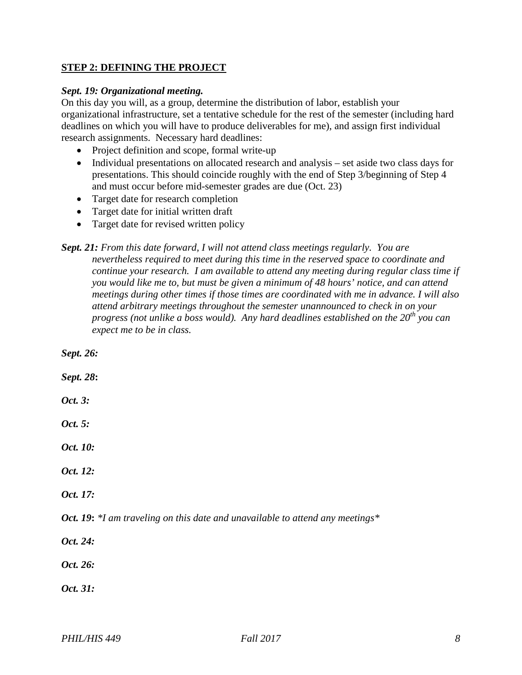### **STEP 2: DEFINING THE PROJECT**

#### *Sept. 19: Organizational meeting.*

On this day you will, as a group, determine the distribution of labor, establish your organizational infrastructure, set a tentative schedule for the rest of the semester (including hard deadlines on which you will have to produce deliverables for me), and assign first individual research assignments. Necessary hard deadlines:

- Project definition and scope, formal write-up
- Individual presentations on allocated research and analysis set aside two class days for presentations. This should coincide roughly with the end of Step 3/beginning of Step 4 and must occur before mid-semester grades are due (Oct. 23)
- Target date for research completion
- Target date for initial written draft
- Target date for revised written policy

*Sept. 21: From this date forward, I will not attend class meetings regularly. You are nevertheless required to meet during this time in the reserved space to coordinate and continue your research. I am available to attend any meeting during regular class time if you would like me to, but must be given a minimum of 48 hours' notice, and can attend meetings during other times if those times are coordinated with me in advance. I will also attend arbitrary meetings throughout the semester unannounced to check in on your*  progress (not unlike a boss would). Any hard deadlines established on the 20<sup>th</sup> you can *expect me to be in class.*

*Sept. 26: Sept. 28***:** *Oct. 3: Oct. 5: Oct. 10: Oct. 12: Oct. 17: Oct. 19***:** *\*I am traveling on this date and unavailable to attend any meetings\* Oct. 24: Oct. 26: Oct. 31:*